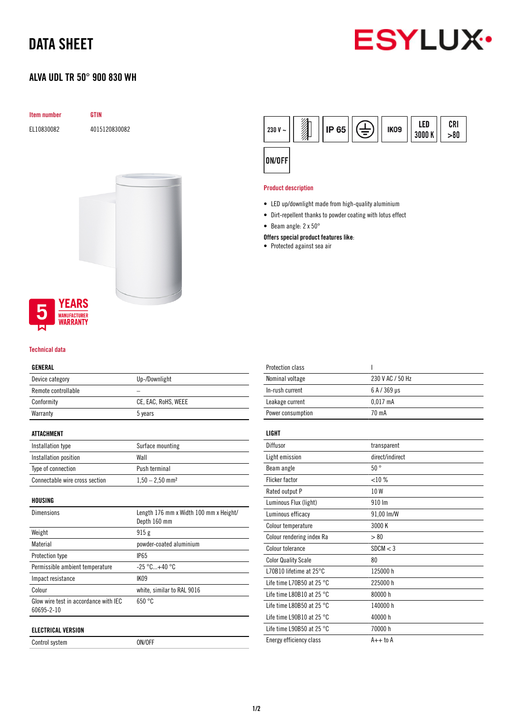## DATA SHEET

### ALVA UDL TR 50° 900 830 WH



# Item number GTIN EL10830082 4015120830082



#### Technical data

#### GENERAL

| Device category     | Up-/Downlight       |
|---------------------|---------------------|
| Remote controllable |                     |
| Conformity          | CE, EAC, RoHS, WEEE |
| Warranty            | 5 years             |
|                     |                     |

#### ATTACHMENT

| Installation type              | Surface mounting              |
|--------------------------------|-------------------------------|
| Installation position          | Wall                          |
| Type of connection             | Push terminal                 |
| Connectable wire cross section | $1,50 - 2,50$ mm <sup>2</sup> |

HOUSING

| <b>Dimensions</b>                                   | Length 176 mm x Width 100 mm x Height/<br>Depth 160 mm |
|-----------------------------------------------------|--------------------------------------------------------|
| Weight                                              | 915g                                                   |
| Material                                            | powder-coated aluminium                                |
| Protection type                                     | <b>IP65</b>                                            |
| Permissible ambient temperature                     | $-25 °C+40 °C$                                         |
| Impact resistance                                   | <b>IK09</b>                                            |
| Colour                                              | white, similar to RAL 9016                             |
| Glow wire test in accordance with IEC<br>60695-2-10 | 650 °C                                                 |
| <b>ELECTRICAL VERSION</b>                           |                                                        |

Control system ON/OFF



#### Product description

- LED up/downlight made from high-quality aluminium
- Dirt-repellent thanks to powder coating with lotus effect
- Beam angle: 2 x 50°

#### Offers special product features like:

• Protected against sea air

| <b>Protection class</b>             | ı                |
|-------------------------------------|------------------|
| Nominal voltage                     | 230 V AC / 50 Hz |
| In-rush current                     | 6 A / 369 µs     |
| Leakage current                     | $0.017$ mA       |
| Power consumption                   | 70 mA            |
| LIGHT                               |                  |
|                                     |                  |
| Diffusor                            | transparent      |
| Light emission                      | direct/indirect  |
| Beam angle                          | $50^{\circ}$     |
| <b>Flicker factor</b>               | <10%             |
| Rated output P                      | 10W              |
| Luminous Flux (light)               | 910 Im           |
| Luminous efficacy                   | 91,00 lm/W       |
| Colour temperature                  | 3000 K           |
| Colour rendering index Ra           | > 80             |
| Colour tolerance                    | SDCM < 3         |
| <b>Color Quality Scale</b>          | 80               |
| L70B10 lifetime at 25°C             | 125000 h         |
| Life time L70B50 at 25 $^{\circ}$ C | 225000 h         |
| Life time L80B10 at 25 $^{\circ}$ C | 80000 h          |
| Life time L80B50 at 25 $^{\circ}$ C | 140000 h         |
| Life time L90B10 at 25 $^{\circ}$ C | 40000 h          |
| Life time L90B50 at 25 $^{\circ}$ C | 70000 h          |
| Energy efficiency class             | $A++$ to $A$     |
|                                     |                  |